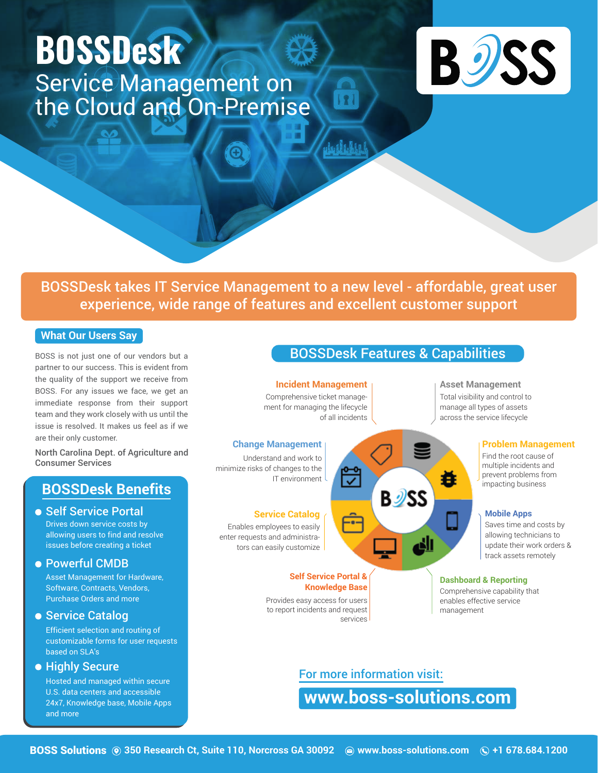# **BOSSDesk** Service Management on the Cloud and On-Premise



BOSSDesk takes IT Service Management to a new level - affordable, great user experience, wide range of features and excellent customer support

 $\overline{\mathbf{R}}$ 

#### **What Our Users Say**

BOSS is not just one of our vendors but a partner to our success. This is evident from the quality of the support we receive from BOSS. For any issues we face, we get an immediate response from their support team and they work closely with us until the issue is resolved. It makes us feel as if we are their only customer.

North Carolina Dept. of Agriculture and Consumer Services

# **BOSSDesk Benefits**

● Self Service Portal Drives down service costs by allowing users to find and resolve issues before creating a ticket

#### Powerful CMDB

Asset Management for Hardware, Software, Contracts, Vendors, Purchase Orders and more

• Service Catalog

Efficient selection and routing of customizable forms for user requests based on SLA's

**• Highly Secure** 

Hosted and managed within secure U.S. data centers and accessible 24x7, Knowledge base, Mobile Apps and more

# BOSSDesk Features & Capabilities

**Incident Management**

Comprehensive ticket management for managing the lifecycle of all incidents

#### **Change Management**

Understand and work to minimize risks of changes to the IT environment

#### **Service Catalog**

Enables employees to easily enter requests and administrators can easily customize

#### **Self Service Portal & Knowledge Base**

Provides easy access for users to report incidents and request services



#### **Asset Management**

Total visibility and control to manage all types of assets across the service lifecycle

#### **Problem Management**

Find the root cause of multiple incidents and prevent problems from impacting business

#### **Mobile Apps**

Saves time and costs by allowing technicians to update their work orders & track assets remotely

#### **Dashboard & Reporting**

Comprehensive capability that enables effective service management

For more information visit:

**www.boss-solutions.com**